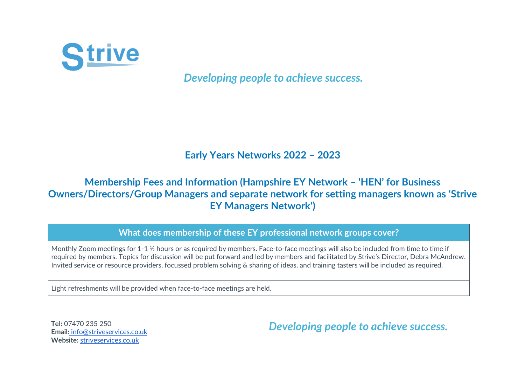

*Developing people to achieve success.*

## **Early Years Networks 2022 – 2023**

## **Membership Fees and Information (Hampshire EY Network – 'HEN' for Business Owners/Directors/Group Managers and separate network for setting managers known as 'Strive EY Managers Network')**

## **What does membership of these EY professional network groups cover?**

Monthly Zoom meetings for 1-1 ½ hours or as required by members. Face-to-face meetings will also be included from time to time if required by members. Topics for discussion will be put forward and led by members and facilitated by Strive's Director, Debra McAndrew. Invited service or resource providers, focussed problem solving & sharing of ideas, and training tasters will be included as required.

Light refreshments will be provided when face-to-face meetings are held.

**Tel:** 07470 235 250 **Email[:](mailto:info@striveservices.co.uk)** [info@striveservices.co.uk](mailto:info@striveservices.co.uk) **Website:** [striveservices.co.uk](http://www.striveservices.co.uk/) 

*Developing people to achieve success.*